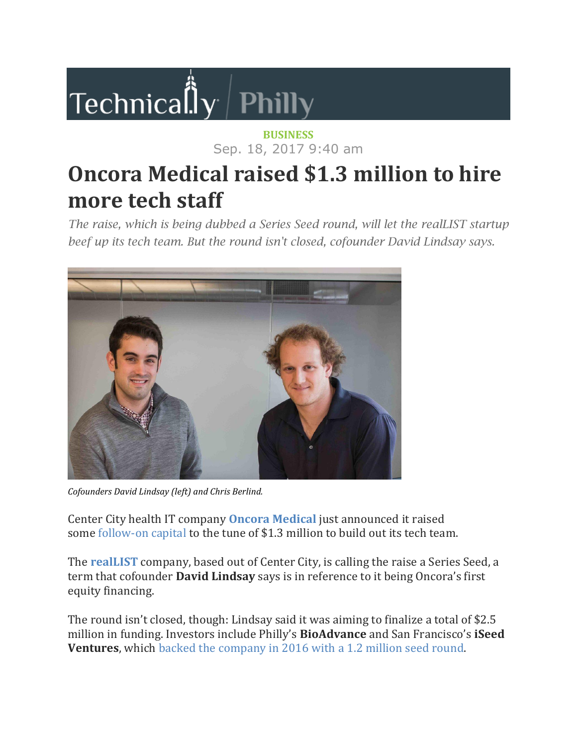## **Technica**lly Philly

## **[BUSINESS](https://technical.ly/philly/category/business/)** Sep. 18, 2017 9:40 am

## **Oncora Medical raised \$1.3 million to hire more tech staff**

*The raise, which is being dubbed a Series Seed round, will let the realLIST startup beef up its tech team. But the round isn't closed, cofounder David Lindsay says.*



*Cofounders David Lindsay (left) and Chris Berlind.*

Center City health IT company **Oncora [Medical](http://technical.ly/organization/oncora-medical)** just announced it raised some [follow-on](https://www.sec.gov/Archives/edgar/data/1716472/000171647217000001/xslFormDX01/primary_doc.xml) capital to the tune of \$1.3 million to build out its tech team.

The **[realLIST](http://technical.ly/philly/2017/01/30/hottest-startups-philadelphia/)** company, based out of Center City, is calling the raise a Series Seed, a term that cofounder **David Lindsay** says is in reference to it being Oncora's first equity financing.

The round isn't closed, though: Lindsay said it was aiming to finalize a total of \$2.5 million in funding. Investors include Philly's **BioAdvance** and San Francisco's **iSeed Ventures**, which backed the [company](https://technical.ly/philly/2016/03/10/oncora-medical-seed-round-iseed-ventures/) in 2016 with a 1.2 million seed round.